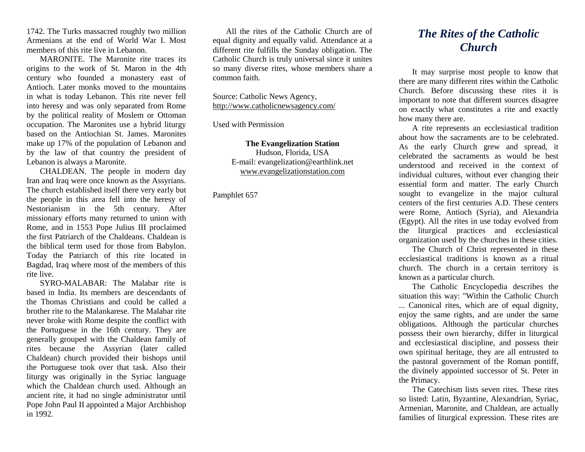1742. The Turks massacred roughly two million Armenians at the end of World War I. Most members of this rite live in Lebanon.

MARONITE. The Maronite rite traces its origins to the work of St. Maron in the 4th century who founded a monastery east of Antioch. Later monks moved to the mountains in what is today Lebanon. This rite never fell into heresy and was only separated from Rome by the political reality of Moslem or Ottoman occupation. The Maronites use a hybrid liturgy based on the Antiochian St. James. Maronites make up 17% of the population of Lebanon and by the law of that country the president of Lebanon is always a Maronite.

CHALDEAN. The people in modern day Iran and Iraq were once known as the Assyrians. The church established itself there very early but the people in this area fell into the heresy of Nestorianism in the 5th century. After missionary efforts many returned to union with Rome, and in 1553 Pope Julius III proclaimed the first Patriarch of the Chaldeans. Chaldean is the biblical term used for those from Babylon. Today the Patriarch of this rite located in Bagdad, Iraq where most of the members of this rite live.

SYRO-MALABAR: The Malabar rite is based in India. Its members are descendants of the Thomas Christians and could be called a brother rite to the Malankarese. The Malabar rite never broke with Rome despite the conflict with the Portuguese in the 16th century. They are generally grouped with the Chaldean family of rites because the Assyrian (later called Chaldean) church provided their bishops until the Portuguese took over that task. Also their liturgy was originally in the Syriac language which the Chaldean church used. Although an ancient rite, it had no single administrator until Pope John Paul II appointed a Major Archbishop in 1992.

All the rites of the Catholic Church are of equal dignity and equally valid. Attendance at a different rite fulfills the Sunday obligation. The Catholic Church is truly universal since it unites so many diverse rites, whose members share a common faith.

Source: Catholic News Agency, <http://www.catholicnewsagency.com/>

Used with Permission

**The Evangelization Station** Hudson, Florida, USA E-mail: evangelization@earthlink.net [www.evangelizationstation.com](http://www.pjpiisoe.org/)

Pamphlet 657

## *The Rites of the Catholic Church*

It may surprise most people to know that there are many different rites within the Catholic Church. Before discussing these rites it is important to note that different sources disagree on exactly what constitutes a rite and exactly how many there are.

A rite represents an ecclesiastical tradition about how the sacraments are to be celebrated. As the early Church grew and spread, it celebrated the sacraments as would be best understood and received in the context of individual cultures, without ever changing their essential form and matter. The early Church sought to evangelize in the major cultural centers of the first centuries A.D. These centers were Rome, Antioch (Syria), and Alexandria (Egypt). All the rites in use today evolved from the liturgical practices and ecclesiastical organization used by the churches in these cities.

The Church of Christ represented in these ecclesiastical traditions is known as a ritual church. The church in a certain territory is known as a particular church.

The Catholic Encyclopedia describes the situation this way: "Within the Catholic Church ... Canonical rites, which are of equal dignity, enjoy the same rights, and are under the same obligations. Although the particular churches possess their own hierarchy, differ in liturgical and ecclesiastical discipline, and possess their own spiritual heritage, they are all entrusted to the pastoral government of the Roman pontiff, the divinely appointed successor of St. Peter in the Primacy.

The Catechism lists seven rites. These rites so listed: Latin, Byzantine, Alexandrian, Syriac, Armenian, Maronite, and Chaldean, are actually families of liturgical expression. These rites are